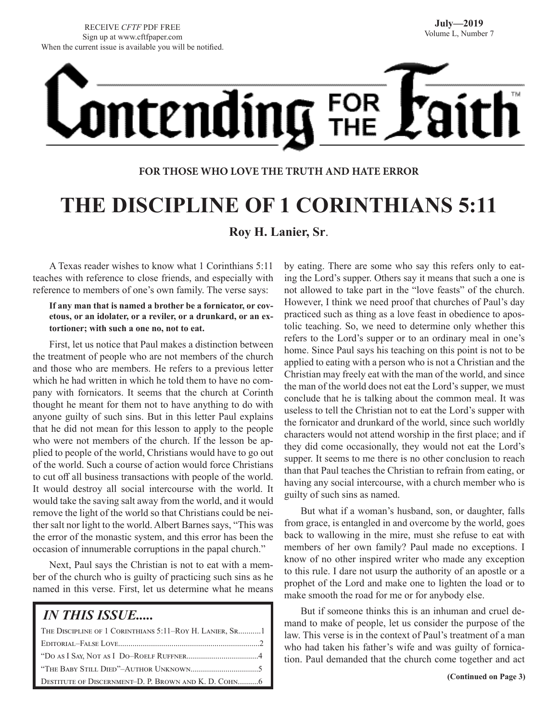# **ontending** FOR

#### **FOR THOSE WHO LOVE THE TRUTH AND HATE ERROR**

## **THE DISCIPLINE OF 1 CORINTHIANS 5:11**

**Roy H. Lanier, Sr**.

A Texas reader wishes to know what 1 Corinthians 5:11 teaches with reference to close friends, and especially with reference to members of one's own family. The verse says:

**If any man that is named a brother be a fornicator, or covetous, or an idolater, or a reviler, or a drunkard, or an extortioner; with such a one no, not to eat.**

First, let us notice that Paul makes a distinction between the treatment of people who are not members of the church and those who are members. He refers to a previous letter which he had written in which he told them to have no company with fornicators. It seems that the church at Corinth thought he meant for them not to have anything to do with anyone guilty of such sins. But in this letter Paul explains that he did not mean for this lesson to apply to the people who were not members of the church. If the lesson be applied to people of the world, Christians would have to go out of the world. Such a course of action would force Christians to cut off all business transactions with people of the world. It would destroy all social intercourse with the world. It would take the saving salt away from the world, and it would remove the light of the world so that Christians could be neither salt nor light to the world. Albert Barnes says, "This was the error of the monastic system, and this error has been the occasion of innumerable corruptions in the papal church."

Next, Paul says the Christian is not to eat with a member of the church who is guilty of practicing such sins as he named in this verse. First, let us determine what he means

#### *IN THIS ISSUE.....*

| THE DISCIPLINE OF 1 CORINTHIANS 5:11-ROY H. LANIER, SR1 |
|---------------------------------------------------------|
|                                                         |
|                                                         |
|                                                         |
| DESTITUTE OF DISCERNMENT-D. P. BROWN AND K. D. COHN6    |

by eating. There are some who say this refers only to eating the Lord's supper. Others say it means that such a one is not allowed to take part in the "love feasts" of the church. However, I think we need proof that churches of Paul's day practiced such as thing as a love feast in obedience to apostolic teaching. So, we need to determine only whether this refers to the Lord's supper or to an ordinary meal in one's home. Since Paul says his teaching on this point is not to be applied to eating with a person who is not a Christian and the Christian may freely eat with the man of the world, and since the man of the world does not eat the Lord's supper, we must conclude that he is talking about the common meal. It was useless to tell the Christian not to eat the Lord's supper with the fornicator and drunkard of the world, since such worldly characters would not attend worship in the first place; and if they did come occasionally, they would not eat the Lord's supper. It seems to me there is no other conclusion to reach than that Paul teaches the Christian to refrain from eating, or having any social intercourse, with a church member who is guilty of such sins as named.

But what if a woman's husband, son, or daughter, falls from grace, is entangled in and overcome by the world, goes back to wallowing in the mire, must she refuse to eat with members of her own family? Paul made no exceptions. I know of no other inspired writer who made any exception to this rule. I dare not usurp the authority of an apostle or a prophet of the Lord and make one to lighten the load or to make smooth the road for me or for anybody else.

But if someone thinks this is an inhuman and cruel demand to make of people, let us consider the purpose of the law. This verse is in the context of Paul's treatment of a man who had taken his father's wife and was guilty of fornication. Paul demanded that the church come together and act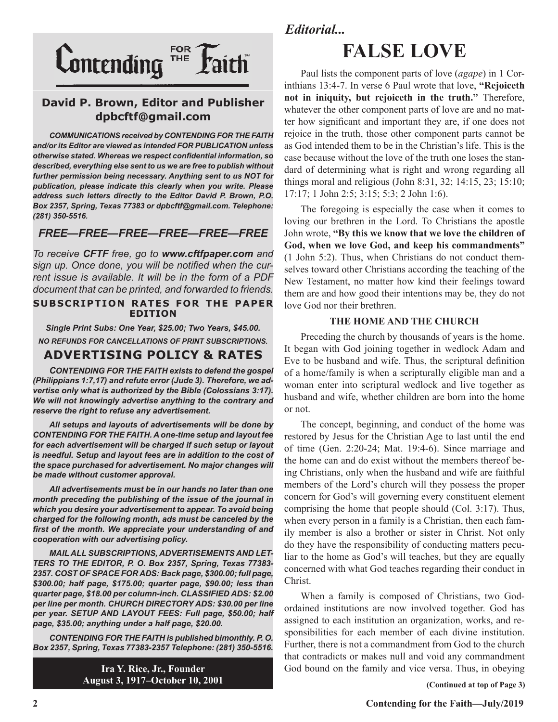

#### **David P. Brown, Editor and Publisher dpbcftf@gmail.com**

*COMMUNICATIONS received by CONTENDING FOR THE FAITH and/or its Editor are viewed as intended FOR PUBLICATION unless otherwise stated. Whereas we respect confidential information, so described, everything else sent to us we are free to publish without further permission being necessary. Anything sent to us NOT for publication, please indicate this clearly when you write. Please address such letters directly to the Editor David P. Brown, P.O. Box 2357, Spring, Texas 77383 or dpbcftf@gmail.com. Telephone: (281) 350-5516.*

#### *FREE—FREE—FREE—FREE—FREE—FREE*

*To receive CFTF free, go to www.cftfpaper.com and sign up. Once done, you will be notified when the current issue is available. It will be in the form of a PDF document that can be printed, and forwarded to friends.*

#### **SUBSCRIPTION RATES FOR THE PAPER EDITION**

*Single Print Subs: One Year, \$25.00; Two Years, \$45.00. NO REFUNDS FOR CANCELLATIONS OF PRINT SUBSCRIPTIONS.*

#### **ADVERTISING POLICY & RATES**

*CONTENDING FOR THE FAITH exists to defend the gospel (Philippians 1:7,17) and refute error (Jude 3). Therefore, we advertise only what is authorized by the Bible (Colossians 3:17). We will not knowingly advertise anything to the contrary and reserve the right to refuse any advertisement.*

*All setups and layouts of advertisements will be done by CONTENDING FOR THE FAITH. A one-time setup and layout fee for each advertisement will be charged if such setup or layout*  is needful. Setup and layout fees are in addition to the cost of *the space purchased for advertisement. No major changes will be made without customer approval.*

*All advertisements must be in our hands no later than one month preceding the publishing of the issue of the journal in which you desire your advertisement to appear. To avoid being charged for the following month, ads must be canceled by the first of the month. We appreciate your understanding of and cooperation with our advertising policy.*

*MAIL ALL SUBSCRIPTIONS, ADVERTISEMENTS AND LET-TERS TO THE EDITOR, P. O. Box 2357, Spring, Texas 77383- 2357. COST OF SPACE FOR ADS: Back page, \$300.00; full page, \$300.00; half page, \$175.00; quarter page, \$90.00; less than quarter page, \$18.00 per column-inch. CLASSIFIED ADS: \$2.00 per line per month. CHURCH DIRECTORY ADS: \$30.00 per line per year. SETUP AND LAYOUT FEES: Full page, \$50.00; half page, \$35.00; anything under a half page, \$20.00.*

*CONTENDING FOR THE FAITH is published bimonthly. P. O. Box 2357, Spring, Texas 77383-2357 Telephone: (281) 350-5516.*

> **Ira Y. Rice, Jr., Founder August 3, 1917–October 10, 2001**

#### *Editorial...*

## **FALSE LOVE**

Paul lists the component parts of love (*agape*) in 1 Corinthians 13:4-7. In verse 6 Paul wrote that love, **"Rejoiceth not in iniquity, but rejoiceth in the truth."** Therefore, whatever the other component parts of love are and no matter how significant and important they are, if one does not rejoice in the truth, those other component parts cannot be as God intended them to be in the Christian's life. This is the case because without the love of the truth one loses the standard of determining what is right and wrong regarding all things moral and religious (John 8:31, 32; 14:15, 23; 15:10; 17:17; 1 John 2:5; 3:15; 5:3; 2 John 1:6).

The foregoing is especially the case when it comes to loving our brethren in the Lord. To Christians the apostle John wrote, **"By this we know that we love the children of God, when we love God, and keep his commandments"**  (1 John 5:2). Thus, when Christians do not conduct themselves toward other Christians according the teaching of the New Testament, no matter how kind their feelings toward them are and how good their intentions may be, they do not love God nor their brethren.

#### **THE HOME AND THE CHURCH**

Preceding the church by thousands of years is the home. It began with God joining together in wedlock Adam and Eve to be husband and wife. Thus, the scriptural definition of a home/family is when a scripturally eligible man and a woman enter into scriptural wedlock and live together as husband and wife, whether children are born into the home or not.

The concept, beginning, and conduct of the home was restored by Jesus for the Christian Age to last until the end of time (Gen. 2:20-24; Mat. 19:4-6). Since marriage and the home can and do exist without the members thereof being Christians, only when the husband and wife are faithful members of the Lord's church will they possess the proper concern for God's will governing every constituent element comprising the home that people should (Col. 3:17). Thus, when every person in a family is a Christian, then each family member is also a brother or sister in Christ. Not only do they have the responsibility of conducting matters peculiar to the home as God's will teaches, but they are equally concerned with what God teaches regarding their conduct in Christ.

When a family is composed of Christians, two Godordained institutions are now involved together. God has assigned to each institution an organization, works, and responsibilities for each member of each divine institution. Further, there is not a commandment from God to the church that contradicts or makes null and void any commandment God bound on the family and vice versa. Thus, in obeying

**(Continued at top of Page 3)**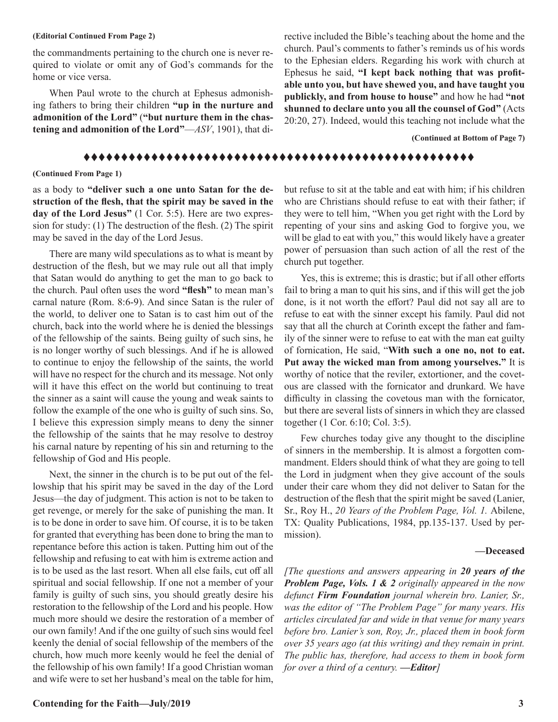#### **(Editorial Continued From Page 2)**

the commandments pertaining to the church one is never required to violate or omit any of God's commands for the home or vice versa.

When Paul wrote to the church at Ephesus admonishing fathers to bring their children **"up in the nurture and admonition of the Lord"** (**"but nurture them in the chastening and admonition of the Lord"**—*ASV*, 1901), that directive included the Bible's teaching about the home and the church. Paul's comments to father's reminds us of his words to the Ephesian elders. Regarding his work with church at Ephesus he said, **"I kept back nothing that was profitable unto you, but have shewed you, and have taught you publickly, and from house to house"** and how he had **"not shunned to declare unto you all the counsel of God"** (Acts 20:20, 27). Indeed, would this teaching not include what the

 **(Continued at Bottom of Page 7)**

#### tttttttttttttttttttttttttttttttttttttttttttttttttttt

#### **(Continued From Page 1)**

as a body to **"deliver such a one unto Satan for the destruction of the flesh, that the spirit may be saved in the day of the Lord Jesus"** (1 Cor. 5:5). Here are two expression for study: (1) The destruction of the flesh. (2) The spirit may be saved in the day of the Lord Jesus.

There are many wild speculations as to what is meant by destruction of the flesh, but we may rule out all that imply that Satan would do anything to get the man to go back to the church. Paul often uses the word **"flesh"** to mean man's carnal nature (Rom. 8:6-9). And since Satan is the ruler of the world, to deliver one to Satan is to cast him out of the church, back into the world where he is denied the blessings of the fellowship of the saints. Being guilty of such sins, he is no longer worthy of such blessings. And if he is allowed to continue to enjoy the fellowship of the saints, the world will have no respect for the church and its message. Not only will it have this effect on the world but continuing to treat the sinner as a saint will cause the young and weak saints to follow the example of the one who is guilty of such sins. So, I believe this expression simply means to deny the sinner the fellowship of the saints that he may resolve to destroy his carnal nature by repenting of his sin and returning to the fellowship of God and His people.

Next, the sinner in the church is to be put out of the fellowship that his spirit may be saved in the day of the Lord Jesus—the day of judgment. This action is not to be taken to get revenge, or merely for the sake of punishing the man. It is to be done in order to save him. Of course, it is to be taken for granted that everything has been done to bring the man to repentance before this action is taken. Putting him out of the fellowship and refusing to eat with him is extreme action and is to be used as the last resort. When all else fails, cut off all spiritual and social fellowship. If one not a member of your family is guilty of such sins, you should greatly desire his restoration to the fellowship of the Lord and his people. How much more should we desire the restoration of a member of our own family! And if the one guilty of such sins would feel keenly the denial of social fellowship of the members of the church, how much more keenly would he feel the denial of the fellowship of his own family! If a good Christian woman and wife were to set her husband's meal on the table for him,

but refuse to sit at the table and eat with him; if his children who are Christians should refuse to eat with their father; if they were to tell him, "When you get right with the Lord by repenting of your sins and asking God to forgive you, we will be glad to eat with you," this would likely have a greater power of persuasion than such action of all the rest of the church put together.

Yes, this is extreme; this is drastic; but if all other efforts fail to bring a man to quit his sins, and if this will get the job done, is it not worth the effort? Paul did not say all are to refuse to eat with the sinner except his family. Paul did not say that all the church at Corinth except the father and family of the sinner were to refuse to eat with the man eat guilty of fornication, He said, "**With such a one no, not to eat. Put away the wicked man from among yourselves."** It is worthy of notice that the reviler, extortioner, and the covetous are classed with the fornicator and drunkard. We have difficulty in classing the covetous man with the fornicator, but there are several lists of sinners in which they are classed together (1 Cor. 6:10; Col. 3:5).

Few churches today give any thought to the discipline of sinners in the membership. It is almost a forgotten commandment. Elders should think of what they are going to tell the Lord in judgment when they give account of the souls under their care whom they did not deliver to Satan for the destruction of the flesh that the spirit might be saved (Lanier, Sr., Roy H., *20 Years of the Problem Page, Vol. 1.* Abilene, TX: Quality Publications, 1984, pp.135-137. Used by permission).

#### **—Deceased**

*[The questions and answers appearing in 20 years of the Problem Page, Vols. 1 & 2 originally appeared in the now defunct Firm Foundation journal wherein bro. Lanier, Sr., was the editor of "The Problem Page" for many years. His articles circulated far and wide in that venue for many years before bro. Lanier's son, Roy, Jr., placed them in book form over 35 years ago (at this writing) and they remain in print. The public has, therefore, had access to them in book form for over a third of a century. —Editor]*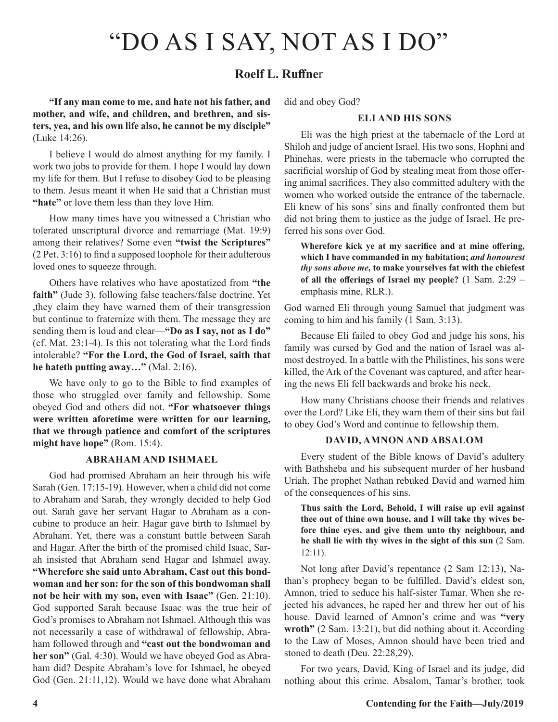## "DO AS I SAY, NOT AS I DO"

#### **Roelf L. Ruffne**r

**"If any man come to me, and hate not his father, and mother, and wife, and children, and brethren, and sisters, yea, and his own life also, he cannot be my disciple"** (Luke 14:26).

I believe I would do almost anything for my family. I work two jobs to provide for them. I hope I would lay down my life for them. But I refuse to disobey God to be pleasing to them. Jesus meant it when He said that a Christian must **"hate"** or love them less than they love Him.

How many times have you witnessed a Christian who tolerated unscriptural divorce and remarriage (Mat. 19:9) among their relatives? Some even **"twist the Scriptures"** (2 Pet. 3:16) to find a supposed loophole for their adulterous loved ones to squeeze through.

Others have relatives who have apostatized from **"the faith"** (Jude 3), following false teachers/false doctrine. Yet ,they claim they have warned them of their transgression but continue to fraternize with them. The message they are sending them is loud and clear—**"Do as I say, not as I do"**  (cf. Mat. 23:1-4). Is this not tolerating what the Lord finds intolerable? **"For the Lord, the God of Israel, saith that he hateth putting away…"** (Mal. 2:16).

We have only to go to the Bible to find examples of those who struggled over family and fellowship. Some obeyed God and others did not. **"For whatsoever things were written aforetime were written for our learning, that we through patience and comfort of the scriptures might have hope"** (Rom. 15:4).

#### **ABRAHAM AND ISHMAEL**

God had promised Abraham an heir through his wife Sarah (Gen. 17:15-19). However, when a child did not come to Abraham and Sarah, they wrongly decided to help God out. Sarah gave her servant Hagar to Abraham as a concubine to produce an heir. Hagar gave birth to Ishmael by Abraham. Yet, there was a constant battle between Sarah and Hagar. After the birth of the promised child Isaac, Sarah insisted that Abraham send Hagar and Ishmael away. **"Wherefore she said unto Abraham, Cast out this bondwoman and her son: for the son of this bondwoman shall not be heir with my son, even with Isaac"** (Gen. 21:10). God supported Sarah because Isaac was the true heir of God's promises to Abraham not Ishmael. Although this was not necessarily a case of withdrawal of fellowship, Abraham followed through and **"cast out the bondwoman and**  her son" (Gal. 4:30). Would we have obeyed God as Abraham did? Despite Abraham's love for Ishmael, he obeyed God (Gen. 21:11,12). Would we have done what Abraham

did and obey God?

#### **ELI AND HIS SONS**

Eli was the high priest at the tabernacle of the Lord at Shiloh and judge of ancient Israel. His two sons, Hophni and Phinehas, were priests in the tabernacle who corrupted the sacrificial worship of God by stealing meat from those offering animal sacrifices. They also committed adultery with the women who worked outside the entrance of the tabernacle. Eli knew of his sons' sins and finally confronted them but did not bring them to justice as the judge of Israel. He preferred his sons over God.

**Wherefore kick ye at my sacrifice and at mine offering, which I have commanded in my habitation;** *and honourest thy sons above me***, to make yourselves fat with the chiefest of all the offerings of Israel my people?** (1 Sam. 2:29 – emphasis mine, RLR.).

God warned Eli through young Samuel that judgment was coming to him and his family (1 Sam. 3:13).

Because Eli failed to obey God and judge his sons, his family was cursed by God and the nation of Israel was almost destroyed. In a battle with the Philistines, his sons were killed, the Ark of the Covenant was captured, and after hearing the news Eli fell backwards and broke his neck.

How many Christians choose their friends and relatives over the Lord? Like Eli, they warn them of their sins but fail to obey God's Word and continue to fellowship them.

#### **DAVID, AMNON AND ABSALOM**

Every student of the Bible knows of David's adultery with Bathsheba and his subsequent murder of her husband Uriah. The prophet Nathan rebuked David and warned him of the consequences of his sins.

**Thus saith the Lord, Behold, I will raise up evil against thee out of thine own house, and I will take thy wives before thine eyes, and give them unto thy neighbour, and he shall lie with thy wives in the sight of this sun** (2 Sam. 12:11).

Not long after David's repentance (2 Sam 12:13), Nathan's prophecy began to be fulfilled. David's eldest son, Amnon, tried to seduce his half-sister Tamar. When she rejected his advances, he raped her and threw her out of his house. David learned of Amnon's crime and was **"very wroth"** (2 Sam. 13:21), but did nothing about it. According to the Law of Moses, Amnon should have been tried and stoned to death (Deu. 22:28,29).

For two years, David, King of Israel and its judge, did nothing about this crime. Absalom, Tamar's brother, took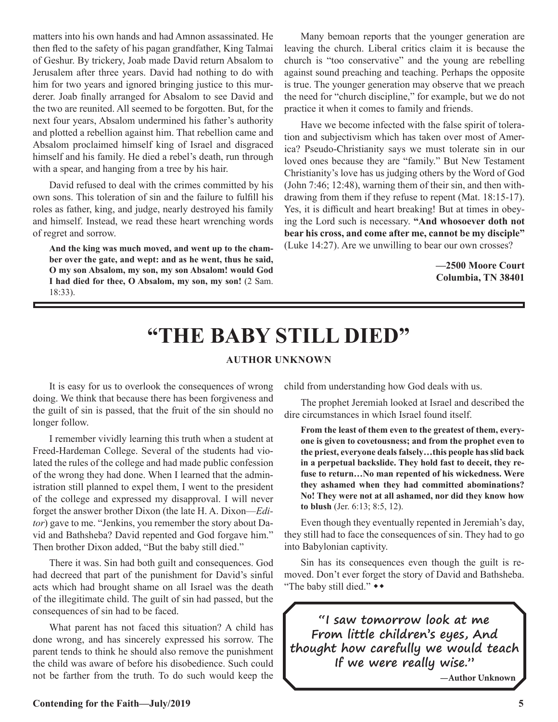matters into his own hands and had Amnon assassinated. He then fled to the safety of his pagan grandfather, King Talmai of Geshur. By trickery, Joab made David return Absalom to Jerusalem after three years. David had nothing to do with him for two years and ignored bringing justice to this murderer. Joab finally arranged for Absalom to see David and the two are reunited. All seemed to be forgotten. But, for the next four years, Absalom undermined his father's authority and plotted a rebellion against him. That rebellion came and Absalom proclaimed himself king of Israel and disgraced himself and his family. He died a rebel's death, run through with a spear, and hanging from a tree by his hair.

David refused to deal with the crimes committed by his own sons. This toleration of sin and the failure to fulfill his roles as father, king, and judge, nearly destroyed his family and himself. Instead, we read these heart wrenching words of regret and sorrow.

**And the king was much moved, and went up to the chamber over the gate, and wept: and as he went, thus he said, O my son Absalom, my son, my son Absalom! would God I had died for thee, O Absalom, my son, my son!** (2 Sam. 18:33).

Many bemoan reports that the younger generation are leaving the church. Liberal critics claim it is because the church is "too conservative" and the young are rebelling against sound preaching and teaching. Perhaps the opposite is true. The younger generation may observe that we preach the need for "church discipline," for example, but we do not practice it when it comes to family and friends.

Have we become infected with the false spirit of toleration and subjectivism which has taken over most of America? Pseudo-Christianity says we must tolerate sin in our loved ones because they are "family." But New Testament Christianity's love has us judging others by the Word of God (John 7:46; 12:48), warning them of their sin, and then withdrawing from them if they refuse to repent (Mat. 18:15-17). Yes, it is difficult and heart breaking! But at times in obeying the Lord such is necessary. **"And whosoever doth not bear his cross, and come after me, cannot be my disciple"** (Luke 14:27). Are we unwilling to bear our own crosses?

> **—2500 Moore Court Columbia, TN 38401**

### **"THE BABY STILL DIED"**

#### **AUTHOR UNKNOWN**

It is easy for us to overlook the consequences of wrong doing. We think that because there has been forgiveness and the guilt of sin is passed, that the fruit of the sin should no longer follow.

I remember vividly learning this truth when a student at Freed-Hardeman College. Several of the students had violated the rules of the college and had made public confession of the wrong they had done. When I learned that the administration still planned to expel them, I went to the president of the college and expressed my disapproval. I will never forget the answer brother Dixon (the late H. A. Dixon—*Editor*) gave to me. "Jenkins, you remember the story about David and Bathsheba? David repented and God forgave him." Then brother Dixon added, "But the baby still died."

There it was. Sin had both guilt and consequences. God had decreed that part of the punishment for David's sinful acts which had brought shame on all Israel was the death of the illegitimate child. The guilt of sin had passed, but the consequences of sin had to be faced.

What parent has not faced this situation? A child has done wrong, and has sincerely expressed his sorrow. The parent tends to think he should also remove the punishment the child was aware of before his disobedience. Such could not be farther from the truth. To do such would keep the

child from understanding how God deals with us.

The prophet Jeremiah looked at Israel and described the dire circumstances in which Israel found itself.

**From the least of them even to the greatest of them, everyone is given to covetousness; and from the prophet even to the priest, everyone deals falsely…this people has slid back in a perpetual backslide. They hold fast to deceit, they refuse to return…No man repented of his wickedness. Were they ashamed when they had committed abominations? No! They were not at all ashamed, nor did they know how to blush** (Jer. 6:13; 8:5, 12).

Even though they eventually repented in Jeremiah's day, they still had to face the consequences of sin. They had to go into Babylonian captivity.

Sin has its consequences even though the guilt is removed. Don't ever forget the story of David and Bathsheba. "The baby still died." \*\*

**"I saw tomorrow look at me From little children's eyes, And thought how carefully we would teach If we were really wise."**

**—Author Unknown**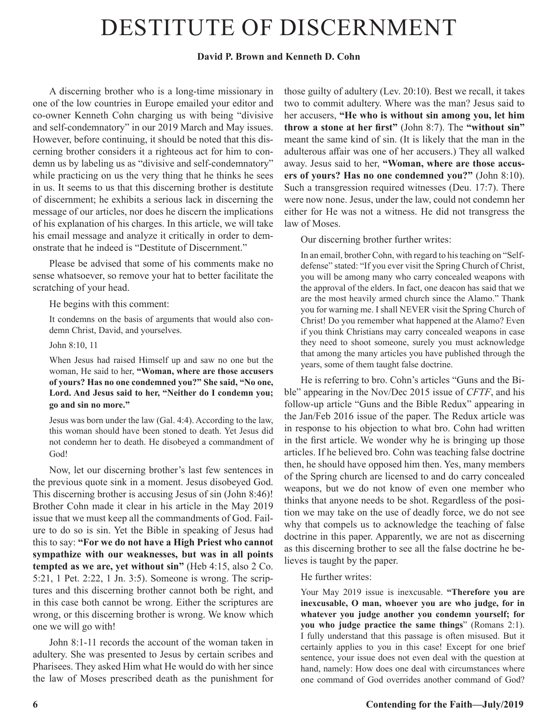## DESTITUTE OF DISCERNMENT

#### **David P. Brown and Kenneth D. Cohn**

A discerning brother who is a long-time missionary in one of the low countries in Europe emailed your editor and co-owner Kenneth Cohn charging us with being "divisive and self-condemnatory" in our 2019 March and May issues. However, before continuing, it should be noted that this discerning brother considers it a righteous act for him to condemn us by labeling us as "divisive and self-condemnatory" while practicing on us the very thing that he thinks he sees in us. It seems to us that this discerning brother is destitute of discernment; he exhibits a serious lack in discerning the message of our articles, nor does he discern the implications of his explanation of his charges. In this article, we will take his email message and analyze it critically in order to demonstrate that he indeed is "Destitute of Discernment."

Please be advised that some of his comments make no sense whatsoever, so remove your hat to better facilitate the scratching of your head.

He begins with this comment:

It condemns on the basis of arguments that would also condemn Christ, David, and yourselves.

John 8:10, 11

When Jesus had raised Himself up and saw no one but the woman, He said to her, **"Woman, where are those accusers of yours? Has no one condemned you?" She said, "No one, Lord. And Jesus said to her, "Neither do I condemn you; go and sin no more."**

Jesus was born under the law (Gal. 4:4). According to the law, this woman should have been stoned to death. Yet Jesus did not condemn her to death. He disobeyed a commandment of God!

Now, let our discerning brother's last few sentences in the previous quote sink in a moment. Jesus disobeyed God. This discerning brother is accusing Jesus of sin (John 8:46)! Brother Cohn made it clear in his article in the May 2019 issue that we must keep all the commandments of God. Failure to do so is sin. Yet the Bible in speaking of Jesus had this to say: **"For we do not have a High Priest who cannot sympathize with our weaknesses, but was in all points tempted as we are, yet without sin"** (Heb 4:15, also 2 Co. 5:21, 1 Pet. 2:22, 1 Jn. 3:5). Someone is wrong. The scriptures and this discerning brother cannot both be right, and in this case both cannot be wrong. Either the scriptures are wrong, or this discerning brother is wrong. We know which one we will go with!

John 8:1-11 records the account of the woman taken in adultery. She was presented to Jesus by certain scribes and Pharisees. They asked Him what He would do with her since the law of Moses prescribed death as the punishment for those guilty of adultery (Lev. 20:10). Best we recall, it takes two to commit adultery. Where was the man? Jesus said to her accusers, **"He who is without sin among you, let him throw a stone at her first"** (John 8:7). The **"without sin"**  meant the same kind of sin. (It is likely that the man in the adulterous affair was one of her accusers.) They all walked away. Jesus said to her, **"Woman, where are those accusers of yours? Has no one condemned you?"** (John 8:10). Such a transgression required witnesses (Deu. 17:7). There were now none. Jesus, under the law, could not condemn her either for He was not a witness. He did not transgress the law of Moses.

Our discerning brother further writes:

In an email, brother Cohn, with regard to his teaching on "Selfdefense" stated: "If you ever visit the Spring Church of Christ, you will be among many who carry concealed weapons with the approval of the elders. In fact, one deacon has said that we are the most heavily armed church since the Alamo." Thank you for warning me. I shall NEVER visit the Spring Church of Christ! Do you remember what happened at the Alamo? Even if you think Christians may carry concealed weapons in case they need to shoot someone, surely you must acknowledge that among the many articles you have published through the years, some of them taught false doctrine.

He is referring to bro. Cohn's articles "Guns and the Bible" appearing in the Nov/Dec 2015 issue of *CFTF*, and his follow-up article "Guns and the Bible Redux" appearing in the Jan/Feb 2016 issue of the paper. The Redux article was in response to his objection to what bro. Cohn had written in the first article. We wonder why he is bringing up those articles. If he believed bro. Cohn was teaching false doctrine then, he should have opposed him then. Yes, many members of the Spring church are licensed to and do carry concealed weapons, but we do not know of even one member who thinks that anyone needs to be shot. Regardless of the position we may take on the use of deadly force, we do not see why that compels us to acknowledge the teaching of false doctrine in this paper. Apparently, we are not as discerning as this discerning brother to see all the false doctrine he believes is taught by the paper.

He further writes:

Your May 2019 issue is inexcusable. **"Therefore you are inexcusable, O man, whoever you are who judge, for in whatever you judge another you condemn yourself; for you who judge practice the same things**" (Romans 2:1). I fully understand that this passage is often misused. But it certainly applies to you in this case! Except for one brief sentence, your issue does not even deal with the question at hand, namely: How does one deal with circumstances where one command of God overrides another command of God?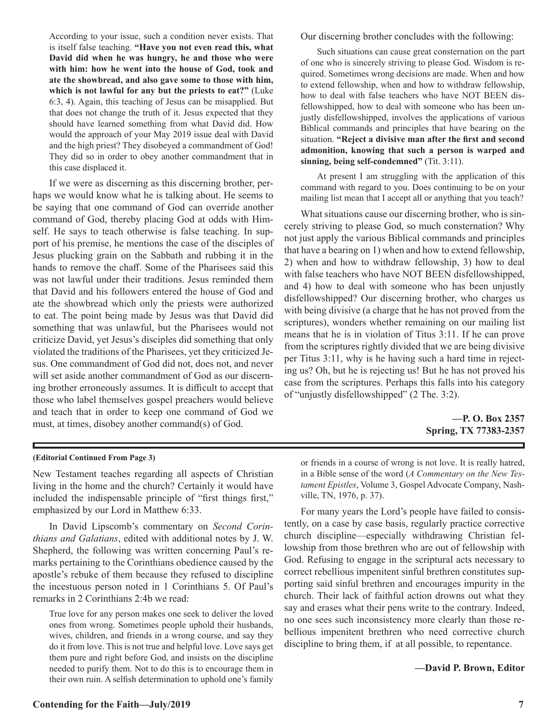**Contending for the Faith—July/2019** 7

According to your issue, such a condition never exists. That is itself false teaching. **"Have you not even read this, what David did when he was hungry, he and those who were with him: how he went into the house of God, took and ate the showbread, and also gave some to those with him, which is not lawful for any but the priests to eat?"** (Luke 6:3, 4). Again, this teaching of Jesus can be misapplied. But that does not change the truth of it. Jesus expected that they should have learned something from what David did. How would the approach of your May 2019 issue deal with David and the high priest? They disobeyed a commandment of God! They did so in order to obey another commandment that in this case displaced it.

If we were as discerning as this discerning brother, perhaps we would know what he is talking about. He seems to be saying that one command of God can override another command of God, thereby placing God at odds with Himself. He says to teach otherwise is false teaching. In support of his premise, he mentions the case of the disciples of Jesus plucking grain on the Sabbath and rubbing it in the hands to remove the chaff. Some of the Pharisees said this was not lawful under their traditions. Jesus reminded them that David and his followers entered the house of God and ate the showbread which only the priests were authorized to eat. The point being made by Jesus was that David did something that was unlawful, but the Pharisees would not criticize David, yet Jesus's disciples did something that only violated the traditions of the Pharisees, yet they criticized Jesus. One commandment of God did not, does not, and never will set aside another commandment of God as our discerning brother erroneously assumes. It is difficult to accept that those who label themselves gospel preachers would believe and teach that in order to keep one command of God we must, at times, disobey another command(s) of God.

Our discerning brother concludes with the following:

Such situations can cause great consternation on the part of one who is sincerely striving to please God. Wisdom is required. Sometimes wrong decisions are made. When and how to extend fellowship, when and how to withdraw fellowship, how to deal with false teachers who have NOT BEEN disfellowshipped, how to deal with someone who has been unjustly disfellowshipped, involves the applications of various Biblical commands and principles that have bearing on the situation. **"Reject a divisive man after the first and second admonition, knowing that such a person is warped and sinning, being self-condemned"** (Tit. 3:11).

At present I am struggling with the application of this command with regard to you. Does continuing to be on your mailing list mean that I accept all or anything that you teach?

What situations cause our discerning brother, who is sincerely striving to please God, so much consternation? Why not just apply the various Biblical commands and principles that have a bearing on 1) when and how to extend fellowship, 2) when and how to withdraw fellowship, 3) how to deal with false teachers who have NOT BEEN disfellowshipped, and 4) how to deal with someone who has been unjustly disfellowshipped? Our discerning brother, who charges us with being divisive (a charge that he has not proved from the scriptures), wonders whether remaining on our mailing list means that he is in violation of Titus 3:11. If he can prove from the scriptures rightly divided that we are being divisive per Titus 3:11, why is he having such a hard time in rejecting us? Oh, but he is rejecting us! But he has not proved his case from the scriptures. Perhaps this falls into his category of "unjustly disfellowshipped" (2 The. 3:2).

> **—P. O. Box 2357 Spring, TX 77383-2357**

**(Editorial Continued From Page 3)** or friends in a course of wrong is not love. It is really hatred, in a Bible sense of the word (*A Commentary on the New Testament Epistles*, Volume 3, Gospel Advocate Company, Nashville, TN, 1976, p. 37).

> For many years the Lord's people have failed to consistently, on a case by case basis, regularly practice corrective church discipline—especially withdrawing Christian fellowship from those brethren who are out of fellowship with God. Refusing to engage in the scriptural acts necessary to correct rebellious impenitent sinful brethren constitutes supporting said sinful brethren and encourages impurity in the church. Their lack of faithful action drowns out what they say and erases what their pens write to the contrary. Indeed, no one sees such inconsistency more clearly than those rebellious impenitent brethren who need corrective church discipline to bring them, if at all possible, to repentance.

> > **—David P. Brown, Editor**

New Testament teaches regarding all aspects of Christian living in the home and the church? Certainly it would have included the indispensable principle of "first things first," emphasized by our Lord in Matthew 6:33.

In David Lipscomb's commentary on *Second Corinthians and Galatians*, edited with additional notes by J. W. Shepherd, the following was written concerning Paul's remarks pertaining to the Corinthians obedience caused by the apostle's rebuke of them because they refused to discipline the incestuous person noted in 1 Corinthians 5. Of Paul's remarks in 2 Corinthians 2:4b we read:

True love for any person makes one seek to deliver the loved ones from wrong. Sometimes people uphold their husbands, wives, children, and friends in a wrong course, and say they do it from love. This is not true and helpful love. Love says get them pure and right before God, and insists on the discipline needed to purify them. Not to do this is to encourage them in their own ruin. A selfish determination to uphold one's family